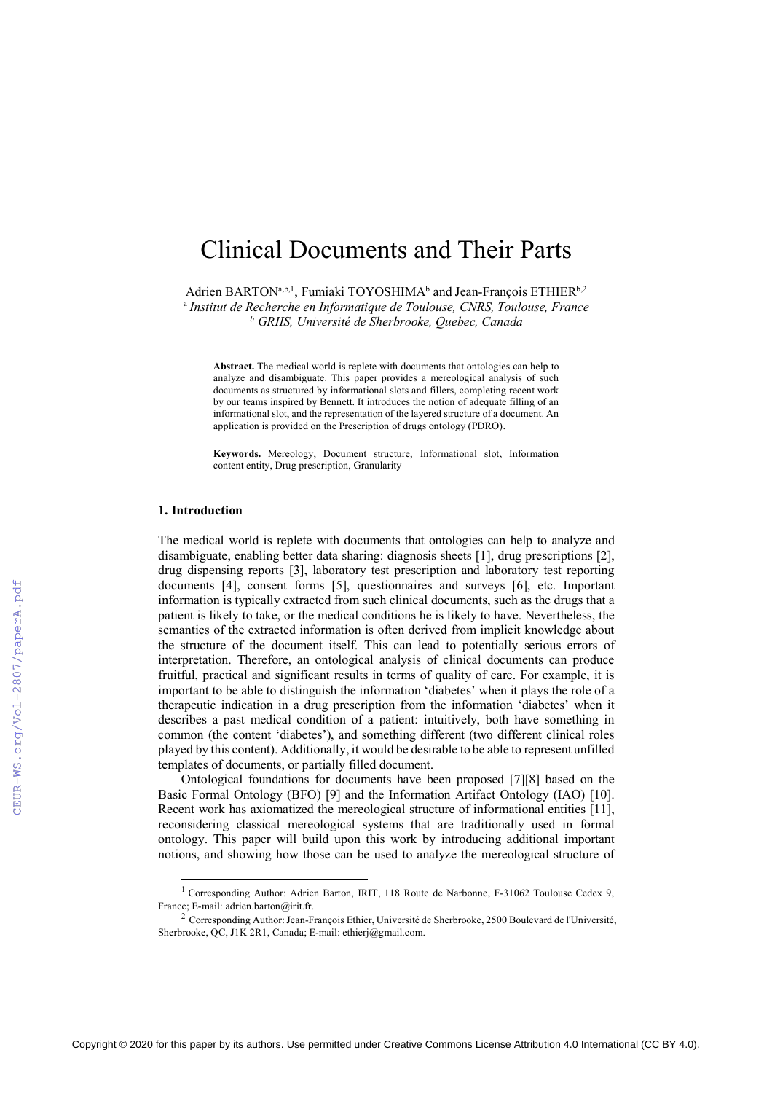# Clinical Documents and Their Parts

Adrien BARTON<sup>a,b,1</sup>, Fumiaki TOYOSHIMA<sup>b</sup> and Jean-François ETHIER<sup>b,2</sup>

<sup>a</sup> *Institut de Recherche en Informatique de Toulouse, CNRS, Toulouse, France <sup>b</sup> GRIIS, Université de Sherbrooke, Quebec, Canada*

**Abstract.** The medical world is replete with documents that ontologies can help to analyze and disambiguate. This paper provides a mereological analysis of such documents as structured by informational slots and fillers, completing recent work by our teams inspired by Bennett. It introduces the notion of adequate filling of an informational slot, and the representation of the layered structure of a document. An application is provided on the Prescription of drugs ontology (PDRO).

**Keywords.** Mereology, Document structure, Informational slot, Information content entity, Drug prescription, Granularity

#### **1. Introduction**

The medical world is replete with documents that ontologies can help to analyze and disambiguate, enabling better data sharing: diagnosis sheets [1], drug prescriptions [2], drug dispensing reports [3], laboratory test prescription and laboratory test reporting documents [4], consent forms [5], questionnaires and surveys [6], etc. Important information is typically extracted from such clinical documents, such as the drugs that a patient is likely to take, or the medical conditions he is likely to have. Nevertheless, the semantics of the extracted information is often derived from implicit knowledge about the structure of the document itself. This can lead to potentially serious errors of interpretation. Therefore, an ontological analysis of clinical documents can produce fruitful, practical and significant results in terms of quality of care. For example, it is important to be able to distinguish the information 'diabetes' when it plays the role of a therapeutic indication in a drug prescription from the information 'diabetes' when it describes a past medical condition of a patient: intuitively, both have something in common (the content 'diabetes'), and something different (two different clinical roles played by this content). Additionally, it would be desirable to be able to represent unfilled templates of documents, or partially filled document.

Ontological foundations for documents have been proposed [7][8] based on the Basic Formal Ontology (BFO) [9] and the Information Artifact Ontology (IAO) [10]. Recent work has axiomatized the mereological structure of informational entities [11], reconsidering classical mereological systems that are traditionally used in formal ontology. This paper will build upon this work by introducing additional important notions, and showing how those can be used to analyze the mereological structure of

<sup>&</sup>lt;sup>1</sup> Corresponding Author: Adrien Barton, IRIT, 118 Route de Narbonne, F-31062 Toulouse Cedex 9, France; E-mail: adrien.barton@irit.fr.

<sup>2</sup> Corresponding Author: Jean-François Ethier, Université de Sherbrooke, 2500 Boulevard de l'Université, Sherbrooke, OC, J1K 2R1, Canada; E-mail: ethierj@gmail.com.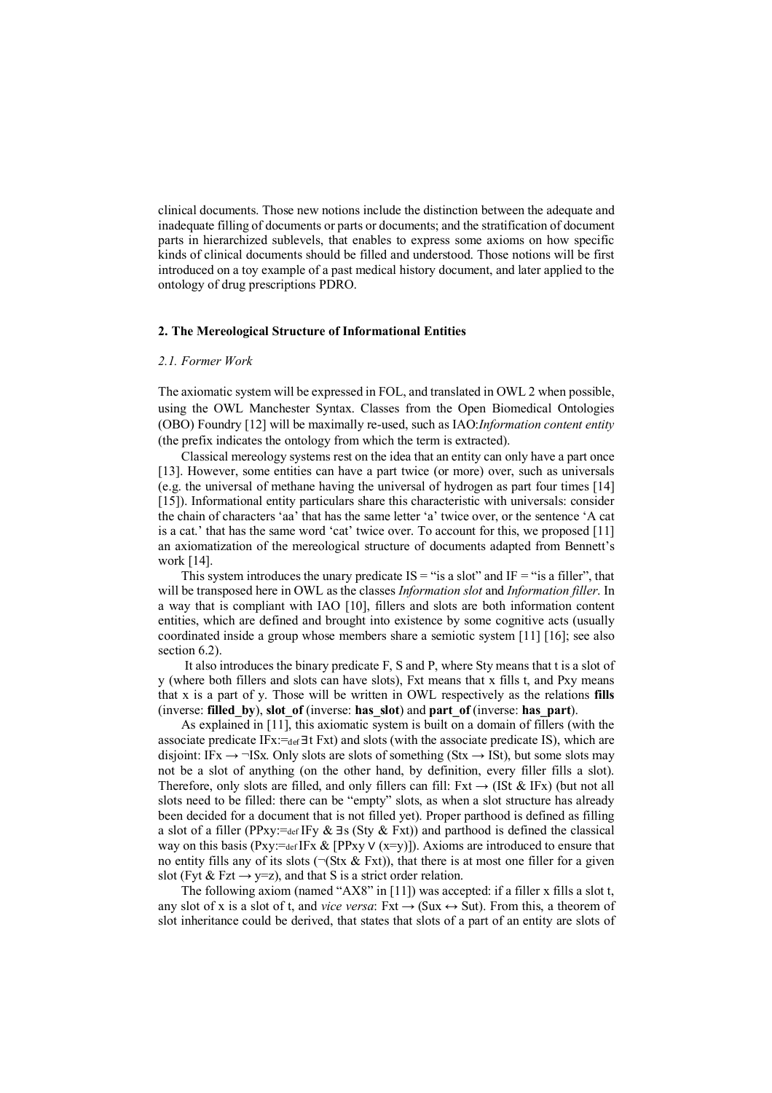clinical documents. Those new notions include the distinction between the adequate and inadequate filling of documents or parts or documents; and the stratification of document parts in hierarchized sublevels, that enables to express some axioms on how specific kinds of clinical documents should be filled and understood. Those notions will be first introduced on a toy example of a past medical history document, and later applied to the ontology of drug prescriptions PDRO.

#### **2. The Mereological Structure of Informational Entities**

### *2.1. Former Work*

The axiomatic system will be expressed in FOL, and translated in OWL 2 when possible, using the OWL Manchester Syntax. Classes from the Open Biomedical Ontologies (OBO) Foundry [12] will be maximally re-used, such as IAO:*Information content entity* (the prefix indicates the ontology from which the term is extracted).

Classical mereology systems rest on the idea that an entity can only have a part once [13]. However, some entities can have a part twice (or more) over, such as universals (e.g. the universal of methane having the universal of hydrogen as part four times [14] [15]). Informational entity particulars share this characteristic with universals: consider the chain of characters 'aa' that has the same letter 'a' twice over, or the sentence 'A cat is a cat.' that has the same word 'cat' twice over. To account for this, we proposed [11] an axiomatization of the mereological structure of documents adapted from Bennett's work [14].

This system introduces the unary predicate  $IS =$ "is a slot" and  $IF =$ "is a filler", that will be transposed here in OWL as the classes *Information slot* and *Information filler*. In a way that is compliant with IAO [10], fillers and slots are both information content entities, which are defined and brought into existence by some cognitive acts (usually coordinated inside a group whose members share a semiotic system [11] [16]; see also section 6.2).

It also introduces the binary predicate F, S and P, where Sty means that t is a slot of y (where both fillers and slots can have slots), Fxt means that x fills t, and Pxy means that x is a part of y. Those will be written in OWL respectively as the relations **fills** (inverse: **filled\_by**), **slot\_of** (inverse: **has\_slot**) and **part\_of** (inverse: **has\_part**).

As explained in [11], this axiomatic system is built on a domain of fillers (with the associate predicate IF $x:=$ def  $\exists t$  Fxt) and slots (with the associate predicate IS), which are disjoint: IFx  $\rightarrow$   $\neg$ ISx. Only slots are slots of something (Stx  $\rightarrow$  ISt), but some slots may not be a slot of anything (on the other hand, by definition, every filler fills a slot). Therefore, only slots are filled, and only fillers can fill:  $Fxt \rightarrow (ISt \& IFx)$  (but not all slots need to be filled: there can be "empty" slots, as when a slot structure has already been decided for a document that is not filled yet). Proper parthood is defined as filling a slot of a filler (PPxy:=def IFy & ∃s (Sty & Fxt)) and parthood is defined the classical way on this basis (Pxy:=def IFx & [PPxy  $\vee$  (x=y)]). Axioms are introduced to ensure that no entity fills any of its slots ( $\neg$ (Stx & Fxt)), that there is at most one filler for a given slot (Fyt & Fzt  $\rightarrow$  y=z), and that S is a strict order relation.

The following axiom (named "AX8" in [11]) was accepted: if a filler x fills a slot t, any slot of x is a slot of t, and *vice versa*: Fxt  $\rightarrow$  (Sux  $\leftrightarrow$  Sut). From this, a theorem of slot inheritance could be derived, that states that slots of a part of an entity are slots of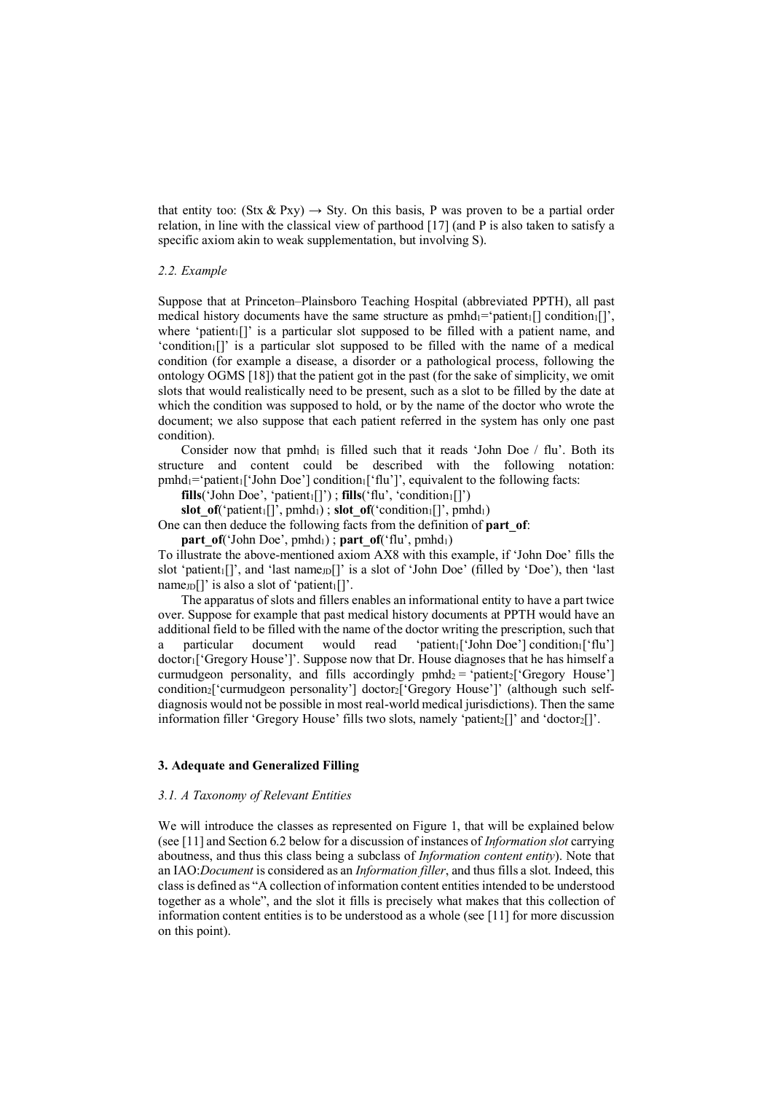that entity too: (Stx & Pxy)  $\rightarrow$  Sty. On this basis, P was proven to be a partial order relation, in line with the classical view of parthood [17] (and P is also taken to satisfy a specific axiom akin to weak supplementation, but involving S).

### *2.2. Example*

Suppose that at Princeton–Plainsboro Teaching Hospital (abbreviated PPTH), all past medical history documents have the same structure as  $pmhd_1$ ='patient<sub>1</sub>[] condition<sub>1</sub>[]', where 'patient $\left[\right]$ ' is a particular slot supposed to be filled with a patient name, and  $\text{"condition}[]$ " is a particular slot supposed to be filled with the name of a medical condition (for example a disease, a disorder or a pathological process, following the ontology OGMS [18]) that the patient got in the past (for the sake of simplicity, we omit slots that would realistically need to be present, such as a slot to be filled by the date at which the condition was supposed to hold, or by the name of the doctor who wrote the document; we also suppose that each patient referred in the system has only one past condition).

Consider now that pmhd<sub>1</sub> is filled such that it reads 'John Doe  $/$  flu'. Both its structure and content could be described with the following notation:  $pmbd_1 = 'patient_1['John Doe'] condition_1['flu']', equivalent to the following facts:$ 

 $\textbf{fills}('John Doe', 'patient_1[]')$ ;  $\textbf{fills}('flu', 'condition_1[]')$ 

**slot** of('patient<sub>1</sub>[]', pmhd<sub>1</sub>); **slot** of('condition<sub>1</sub>[]', pmhd<sub>1</sub>)

One can then deduce the following facts from the definition of **part\_of**:

**part\_of**('John Doe', pmhd<sub>1</sub>); **part\_of**('flu', pmhd<sub>1</sub>)

To illustrate the above-mentioned axiom AX8 with this example, if 'John Doe' fills the slot 'patient<sub>1</sub>[]', and 'last name<sub>JD</sub>[]' is a slot of 'John Doe' (filled by 'Doe'), then 'last name $_D$ []' is also a slot of 'patient $_I$ []'.

The apparatus of slots and fillers enables an informational entity to have a part twice over. Suppose for example that past medical history documents at PPTH would have an additional field to be filled with the name of the doctor writing the prescription, such that a particular document would read 'patient ['John Doe'] condition ['flu'] doctor1['Gregory House']'. Suppose now that Dr. House diagnoses that he has himself a curmudgeon personality, and fills accordingly pmhd<sub>2</sub> = 'patient<sub>2</sub>['Gregory House'] condition2['curmudgeon personality'] doctor2['Gregory House']' (although such selfdiagnosis would not be possible in most real-world medical jurisdictions). Then the same information filler 'Gregory House' fills two slots, namely 'patient<sub>2</sub>[]' and 'doctor<sub>2</sub>[]'.

### **3. Adequate and Generalized Filling**

### *3.1. A Taxonomy of Relevant Entities*

We will introduce the classes as represented on Figure 1, that will be explained below (see [11] and Section 6.2 below for a discussion of instances of *Information slot* carrying aboutness, and thus this class being a subclass of *Information content entity*). Note that an IAO:*Document* is considered as an *Information filler*, and thus fills a slot. Indeed, this classis defined as "A collection of information content entities intended to be understood together as a whole", and the slot it fills is precisely what makes that this collection of information content entities is to be understood as a whole (see [11] for more discussion on this point).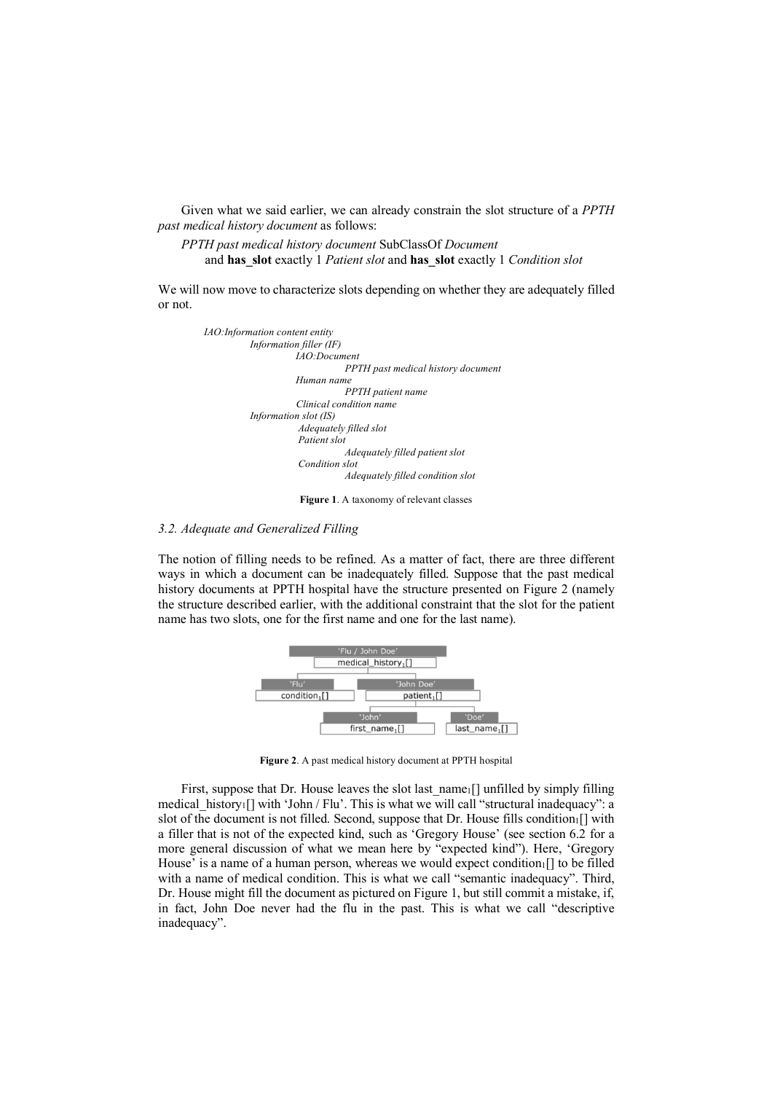Given what we said earlier, we can already constrain the slot structure of a *PPTH past medical history document* as follows:

*PPTH past medical history document* SubClassOf *Document* and **has\_slot** exactly 1 *Patient slot* and **has\_slot** exactly 1 *Condition slot*

We will now move to characterize slots depending on whether they are adequately filled or not.



**Figure 1**. A taxonomy of relevant classes

### *3.2. Adequate and Generalized Filling*

The notion of filling needs to be refined. As a matter of fact, there are three different ways in which a document can be inadequately filled. Suppose that the past medical history documents at PPTH hospital have the structure presented on Figure 2 (namely the structure described earlier, with the additional constraint that the slot for the patient name has two slots, one for the first name and one for the last name).



**Figure 2**. A past medical history document at PPTH hospital

First, suppose that Dr. House leaves the slot last name<sub>1</sub>[] unfilled by simply filling medical history<sub>1</sub>[] with 'John / Flu'. This is what we will call "structural inadequacy": a slot of the document is not filled. Second, suppose that Dr. House fills condition $_1$ [] with a filler that is not of the expected kind, such as 'Gregory House' (see section 6.2 for a more general discussion of what we mean here by "expected kind"). Here, 'Gregory House' is a name of a human person, whereas we would expect condition.  $\lceil \cdot \rceil$  to be filled with a name of medical condition. This is what we call "semantic inadequacy". Third, Dr. House might fill the document as pictured on Figure 1, but still commit a mistake, if, in fact, John Doe never had the flu in the past. This is what we call "descriptive inadequacy".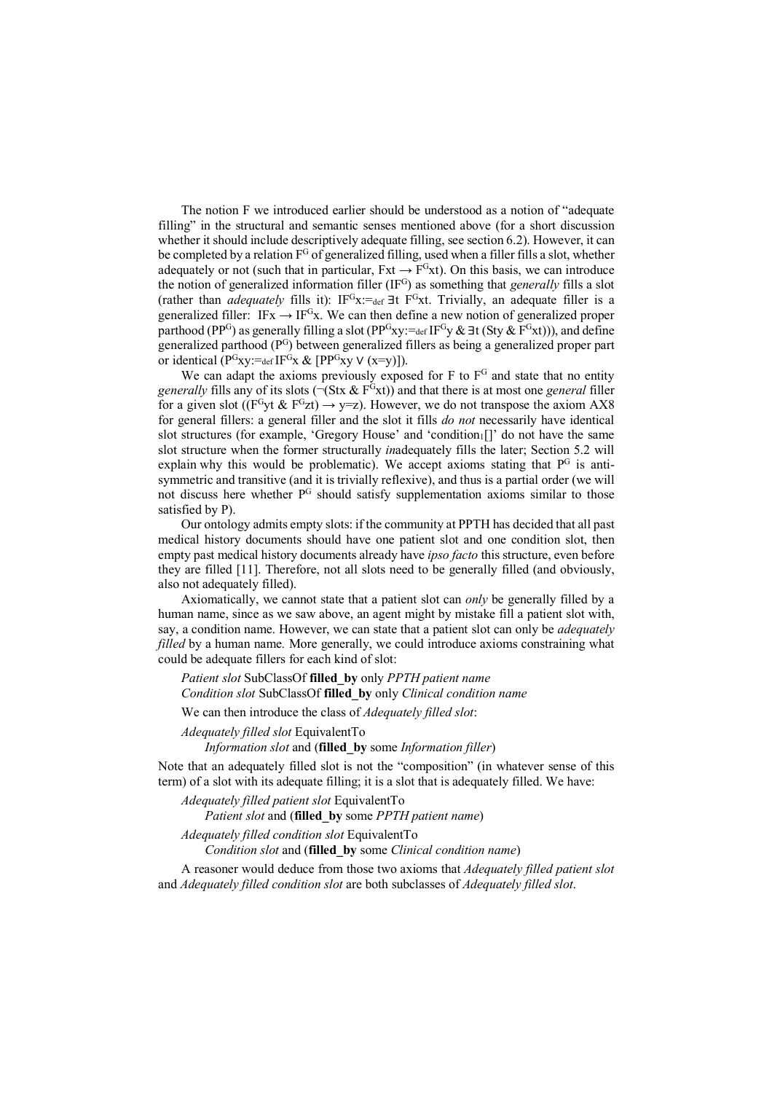The notion F we introduced earlier should be understood as a notion of "adequate filling" in the structural and semantic senses mentioned above (for a short discussion whether it should include descriptively adequate filling, see section 6.2). However, it can be completed by a relation  $F^G$  of generalized filling, used when a filler fills a slot, whether adequately or not (such that in particular,  $Fxt \rightarrow F^{G}xt$ ). On this basis, we can introduce the notion of generalized information filler (IF<sup>G</sup>) as something that *generally* fills a slot (rather than *adequately* fills it): IFGx:=def ∃t FGxt. Trivially, an adequate filler is a generalized filler:  $IFx \rightarrow IF<sup>G</sup>x$ . We can then define a new notion of generalized proper parthood (PP<sup>G</sup>) as generally filling a slot (PP<sup>G</sup>xy:=def IF<sup>G</sup>y &  $\exists$ t (Sty & F<sup>G</sup>xt))), and define generalized parthood (PG) between generalized fillers as being a generalized proper part or identical ( $P^{G}_{X}$ y:=def IF $^{G}_{X}$  & [ $PP^{G}_{X}$ y  $\vee$  (x=y)]).

We can adapt the axioms previously exposed for  $F$  to  $F<sup>G</sup>$  and state that no entity *generally* fills any of its slots  $(\neg (Stx \& F^Gx))$  and that there is at most one *general* filler for a given slot (( $F^G$ yt &  $F^G$ zt)  $\rightarrow$  y=z). However, we do not transpose the axiom AX8 for general fillers: a general filler and the slot it fills *do not* necessarily have identical slot structures (for example, 'Gregory House' and 'condition $[$ ]' do not have the same slot structure when the former structurally *in*adequately fills the later; Section 5.2 will explain why this would be problematic). We accept axioms stating that  $P<sup>G</sup>$  is antisymmetric and transitive (and it is trivially reflexive), and thus is a partial order (we will not discuss here whether P<sup>G</sup> should satisfy supplementation axioms similar to those satisfied by P).

Our ontology admits empty slots: if the community at PPTH has decided that all past medical history documents should have one patient slot and one condition slot, then empty past medical history documents already have *ipso facto* this structure, even before they are filled [11]. Therefore, not all slots need to be generally filled (and obviously, also not adequately filled).

Axiomatically, we cannot state that a patient slot can *only* be generally filled by a human name, since as we saw above, an agent might by mistake fill a patient slot with, say, a condition name. However, we can state that a patient slot can only be *adequately filled* by a human name*.* More generally, we could introduce axioms constraining what could be adequate fillers for each kind of slot:

*Patient slot* SubClassOf **filled\_by** only *PPTH patient name Condition slot* SubClassOf **filled\_by** only *Clinical condition name*

We can then introduce the class of *Adequately filled slot*:

*Adequately filled slot* EquivalentTo

*Information slot* and (**filled\_by** some *Information filler*)

Note that an adequately filled slot is not the "composition" (in whatever sense of this term) of a slot with its adequate filling; it is a slot that is adequately filled. We have:

*Adequately filled patient slot* EquivalentTo *Patient slot* and (**filled\_by** some *PPTH patient name*)

*Adequately filled condition slot* EquivalentTo

*Condition slot* and (**filled\_by** some *Clinical condition name*)

A reasoner would deduce from those two axioms that *Adequately filled patient slot* and *Adequately filled condition slot* are both subclasses of *Adequately filled slot*.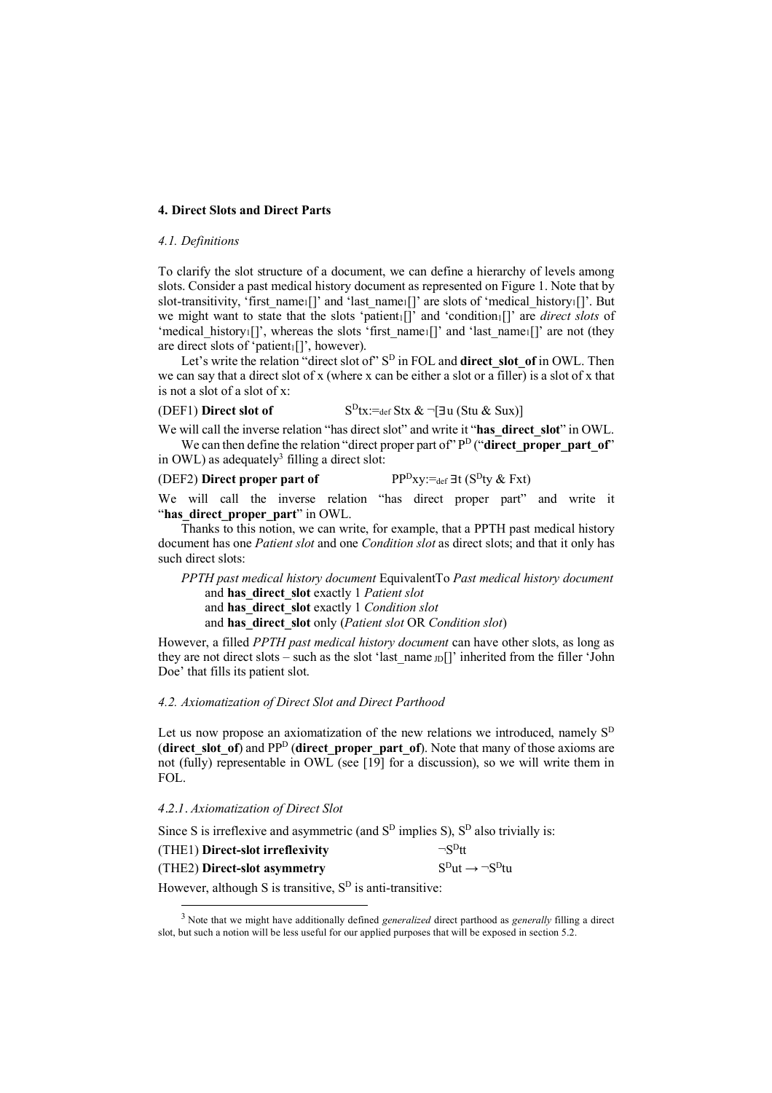### **4. Direct Slots and Direct Parts**

### *4.1. Definitions*

To clarify the slot structure of a document, we can define a hierarchy of levels among slots. Consider a past medical history document as represented on Figure 1. Note that by slot-transitivity, 'first\_name<sub>1</sub>[]' and 'last\_name<sub>1</sub>[]' are slots of 'medical\_history<sub>1</sub>[]'. But we might want to state that the slots 'patient<sub>1</sub>[]' and 'condition<sub>1</sub>[]' are *direct slots* of 'medical\_history<sub>1</sub>[]', whereas the slots 'first\_name<sub>1</sub>[]' and 'last\_name<sub>1</sub>[]' are not (they are direct slots of 'patient $_1$ []', however).

Let's write the relation "direct slot of" S<sup>D</sup> in FOL and **direct slot of** in OWL. Then we can say that a direct slot of x (where x can be either a slot or a filler) is a slot of x that is not a slot of a slot of x:

# (DEF1) **Direct slot of**  $S^D$ tx:=def Stx &  $\neg$ [ $\exists$ u (Stu & Sux)]

We will call the inverse relation "has direct slot" and write it "has direct slot" in OWL. We can then define the relation "direct proper part of"  $P<sup>D</sup>$  ("direct proper part of")

# in OWL) as adequately<sup>3</sup> filling a direct slot: (DEF2) **Direct proper part of** PP<sup>D</sup>xy:=def  $\exists t$  (S<sup>D</sup>ty & Fxt)

We will call the inverse relation "has direct proper part" and write it "has direct proper part" in OWL.

Thanks to this notion, we can write, for example, that a PPTH past medical history document has one *Patient slot* and one *Condition slot* as direct slots; and that it only has such direct slots:

*PPTH past medical history document* EquivalentTo *Past medical history document* and **has\_direct\_slot** exactly 1 *Patient slot* and **has\_direct\_slot** exactly 1 *Condition slot* and **has\_direct\_slot** only (*Patient slot* OR *Condition slot*)

However, a filled *PPTH past medical history document* can have other slots, as long as they are not direct slots – such as the slot 'last name  $|D|$ ' inherited from the filler 'John Doe' that fills its patient slot.

### *4.2. Axiomatization of Direct Slot and Direct Parthood*

Let us now propose an axiomatization of the new relations we introduced, namely  $S<sup>D</sup>$ (**direct** slot of) and PP<sup>D</sup> (**direct proper part of**). Note that many of those axioms are not (fully) representable in OWL (see [19] for a discussion), so we will write them in FOL.

### *4.2.1. Axiomatization of Direct Slot*

Since S is irreflexive and asymmetric (and  $S<sup>D</sup>$  implies S),  $S<sup>D</sup>$  also trivially is:

| (THE1) Direct-slot irreflexivity | $\neg$ S <sup>D</sup> tt     |
|----------------------------------|------------------------------|
| (THE2) Direct-slot asymmetry     | $SDut \rightarrow \neg SDtu$ |

However, although S is transitive,  $S<sup>D</sup>$  is anti-transitive:

 <sup>3</sup> Note that we might have additionally defined *generalized* direct parthood as *generally* filling a direct slot, but such a notion will be less useful for our applied purposes that will be exposed in section 5.2.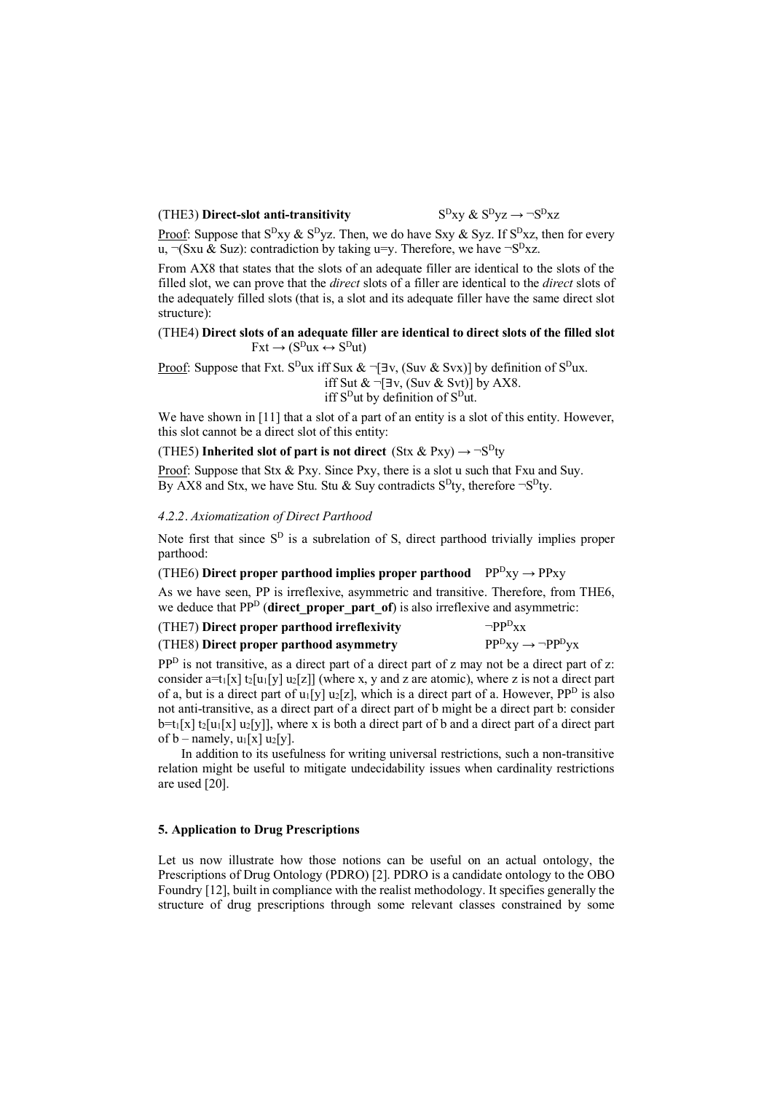# (THE3) **Direct-slot anti-transitivity**  $S^{D}xy \& S^{D}yz \rightarrow \neg S^{D}xz$

Proof: Suppose that  $S^{D}$ xy &  $S^{D}$ yz. Then, we do have Sxy & Syz. If  $S^{D}$ xz, then for every  $u, \overline{\neg}$ (Sxu & Suz): contradiction by taking u=y. Therefore, we have  $\neg S^D$ xz.

From AX8 that states that the slots of an adequate filler are identical to the slots of the filled slot, we can prove that the *direct* slots of a filler are identical to the *direct* slots of the adequately filled slots (that is, a slot and its adequate filler have the same direct slot structure):

## (THE4) **Direct slots of an adequate filler are identical to direct slots of the filled slot**  $Fxt \to (S^Dux \leftrightarrow S^Dut)$

Proof: Suppose that Fxt. S<sup>D</sup>ux iff Sux &  $\neg \exists v$ , (Suv & Svx)] by definition of S<sup>D</sup>ux. iff Sut &  $\neg \exists v$ , (Suv & Svt)] by AX8. iff S<sup>D</sup>ut by definition of S<sup>D</sup>ut.

We have shown in [11] that a slot of a part of an entity is a slot of this entity. However, this slot cannot be a direct slot of this entity:

(THE5) **Inherited** slot of part is not direct (Stx & Pxy)  $\rightarrow \neg S^D$ ty

Proof: Suppose that Stx & Pxy. Since Pxy, there is a slot u such that Fxu and Suy. By AX8 and Stx, we have Stu. Stu & Suy contradicts  $S^D$ ty, therefore  $\neg S^D$ ty.

# *4.2.2. Axiomatization of Direct Parthood*

Note first that since  $S<sup>D</sup>$  is a subrelation of S, direct parthood trivially implies proper parthood:

(THE6) **Direct proper parthood implies proper parthood**  $PP^{D}xy \rightarrow PPxy$ 

As we have seen, PP is irreflexive, asymmetric and transitive. Therefore, from THE6, we deduce that PP<sup>D</sup> (**direct proper part of**) is also irreflexive and asymmetric:

| (THE7) Direct proper parthood irreflexivity | $\neg ppD_{XX}$                      |
|---------------------------------------------|--------------------------------------|
| (THE8) Direct proper parthood asymmetry     | $PP^{D}xy \rightarrow \neg PP^{D}yx$ |

PP<sup>D</sup> is not transitive, as a direct part of a direct part of z may not be a direct part of z: consider a=t<sub>1</sub>[x] t<sub>2</sub>[u<sub>1</sub>[y] u<sub>2</sub>[z]] (where x, y and z are atomic), where z is not a direct part of a, but is a direct part of u<sub>1</sub>[y] u<sub>2</sub>[z], which is a direct part of a. However, PP<sup>D</sup> is also not anti-transitive, as a direct part of a direct part of b might be a direct part b: consider  $b=t_1[x] t_2[u_1[x] u_2[y]]$ , where x is both a direct part of b and a direct part of a direct part of  $b$  – namely,  $u_1[x]$   $u_2[y]$ .

In addition to its usefulness for writing universal restrictions, such a non-transitive relation might be useful to mitigate undecidability issues when cardinality restrictions are used [20].

### **5. Application to Drug Prescriptions**

Let us now illustrate how those notions can be useful on an actual ontology, the Prescriptions of Drug Ontology (PDRO) [2]. PDRO is a candidate ontology to the OBO Foundry [12], built in compliance with the realist methodology. It specifies generally the structure of drug prescriptions through some relevant classes constrained by some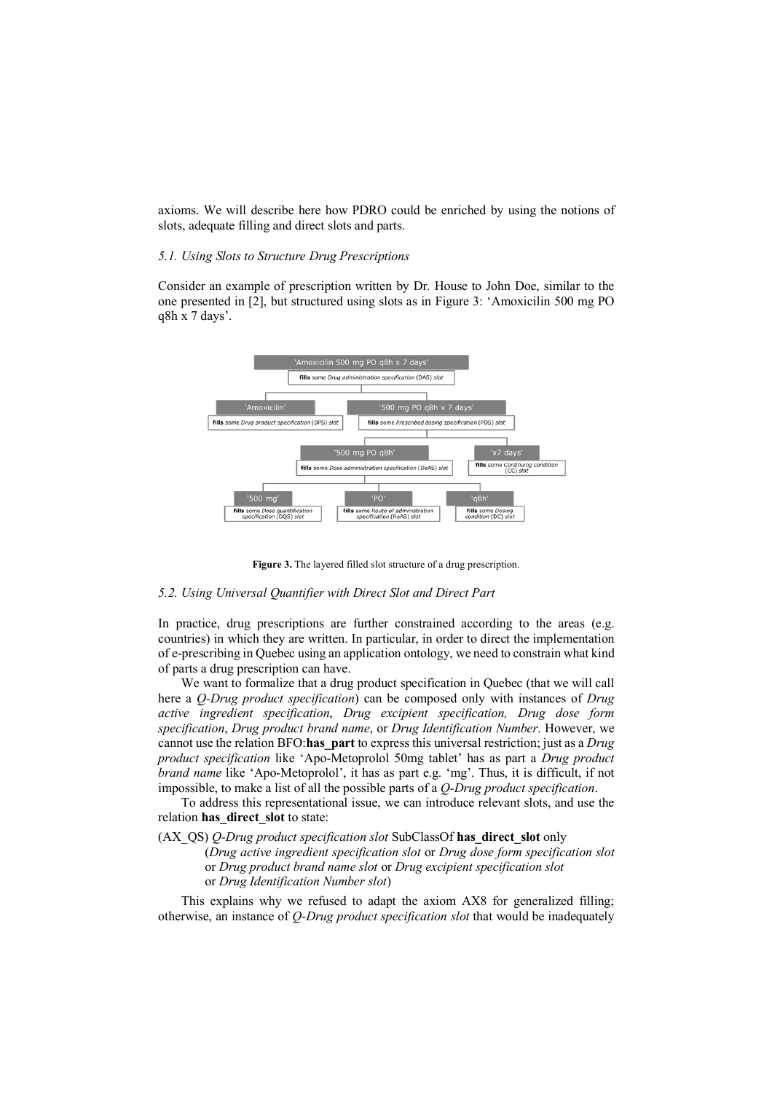axioms. We will describe here how PDRO could be enriched by using the notions of slots, adequate filling and direct slots and parts.

### *5.1. Using Slots to Structure Drug Prescriptions*

Consider an example of prescription written by Dr. House to John Doe, similar to the one presented in [2], but structured using slots as in Figure 3: 'Amoxicilin 500 mg PO q8h x 7 days'.



**Figure 3.** The layered filled slot structure of a drug prescription.

### *5.2. Using Universal Quantifier with Direct Slot and Direct Part*

In practice, drug prescriptions are further constrained according to the areas (e.g. countries) in which they are written. In particular, in order to direct the implementation of e-prescribing in Quebec using an application ontology, we need to constrain what kind of parts a drug prescription can have.

We want to formalize that a drug product specification in Quebec (that we will call here a *Q-Drug product specification*) can be composed only with instances of *Drug active ingredient specification*, *Drug excipient specification, Drug dose form specification*, *Drug product brand name*, or *Drug Identification Number*. However, we cannot use the relation BFO:**has\_part** to express this universal restriction; just as a *Drug product specification* like 'Apo-Metoprolol 50mg tablet' has as part a *Drug product brand name* like 'Apo-Metoprolol', it has as part e.g. 'mg'. Thus, it is difficult, if not impossible, to make a list of all the possible parts of a *Q-Drug product specification*.

To address this representational issue, we can introduce relevant slots, and use the relation **has\_direct\_slot** to state:

### (AX\_QS) *Q-Drug product specification slot* SubClassOf **has\_direct\_slot** only

(*Drug active ingredient specification slot* or *Drug dose form specification slot* or *Drug product brand name slot* or *Drug excipient specification slot* or *Drug Identification Number slot*)

This explains why we refused to adapt the axiom AX8 for generalized filling; otherwise, an instance of *Q-Drug product specification slot* that would be inadequately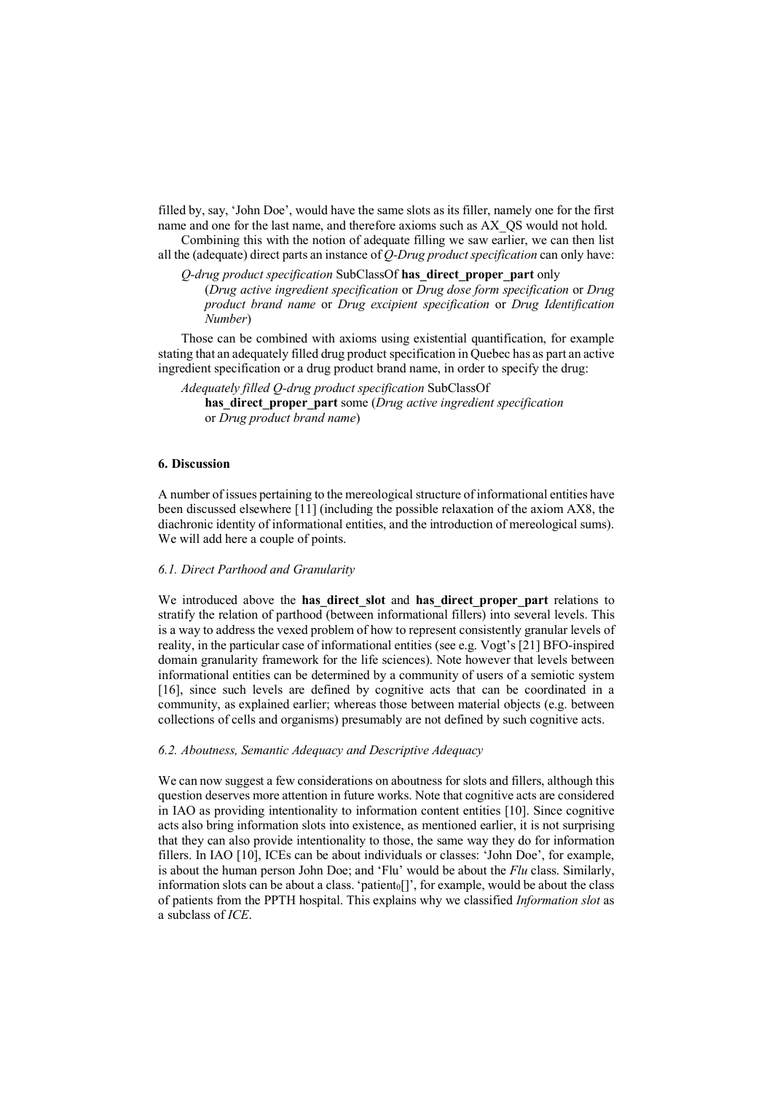filled by, say, 'John Doe', would have the same slots as its filler, namely one for the first name and one for the last name, and therefore axioms such as AX\_QS would not hold.

Combining this with the notion of adequate filling we saw earlier, we can then list all the (adequate) direct parts an instance of *Q-Drug product specification* can only have:

*Q-drug product specification* SubClassOf **has\_direct\_proper\_part** only

(*Drug active ingredient specification* or *Drug dose form specification* or *Drug product brand name* or *Drug excipient specification* or *Drug Identification Number*)

Those can be combined with axioms using existential quantification, for example stating that an adequately filled drug product specification in Quebec has as part an active ingredient specification or a drug product brand name, in order to specify the drug:

*Adequately filled Q-drug product specification* SubClassOf **has\_direct\_proper\_part** some (*Drug active ingredient specification* or *Drug product brand name*)

### **6. Discussion**

A number of issues pertaining to the mereological structure of informational entities have been discussed elsewhere [11] (including the possible relaxation of the axiom AX8, the diachronic identity of informational entities, and the introduction of mereological sums). We will add here a couple of points.

### *6.1. Direct Parthood and Granularity*

We introduced above the **has direct slot** and **has direct proper part** relations to stratify the relation of parthood (between informational fillers) into several levels. This is a way to address the vexed problem of how to represent consistently granular levels of reality, in the particular case of informational entities (see e.g. Vogt's [21] BFO-inspired domain granularity framework for the life sciences). Note however that levels between informational entities can be determined by a community of users of a semiotic system [16], since such levels are defined by cognitive acts that can be coordinated in a community, as explained earlier; whereas those between material objects (e.g. between collections of cells and organisms) presumably are not defined by such cognitive acts.

### *6.2. Aboutness, Semantic Adequacy and Descriptive Adequacy*

We can now suggest a few considerations on aboutness for slots and fillers, although this question deserves more attention in future works. Note that cognitive acts are considered in IAO as providing intentionality to information content entities [10]. Since cognitive acts also bring information slots into existence, as mentioned earlier, it is not surprising that they can also provide intentionality to those, the same way they do for information fillers. In IAO [10], ICEs can be about individuals or classes: 'John Doe', for example, is about the human person John Doe; and 'Flu' would be about the *Flu* class. Similarly, information slots can be about a class. 'patient  $[$ ]', for example, would be about the class of patients from the PPTH hospital. This explains why we classified *Information slot* as a subclass of *ICE*.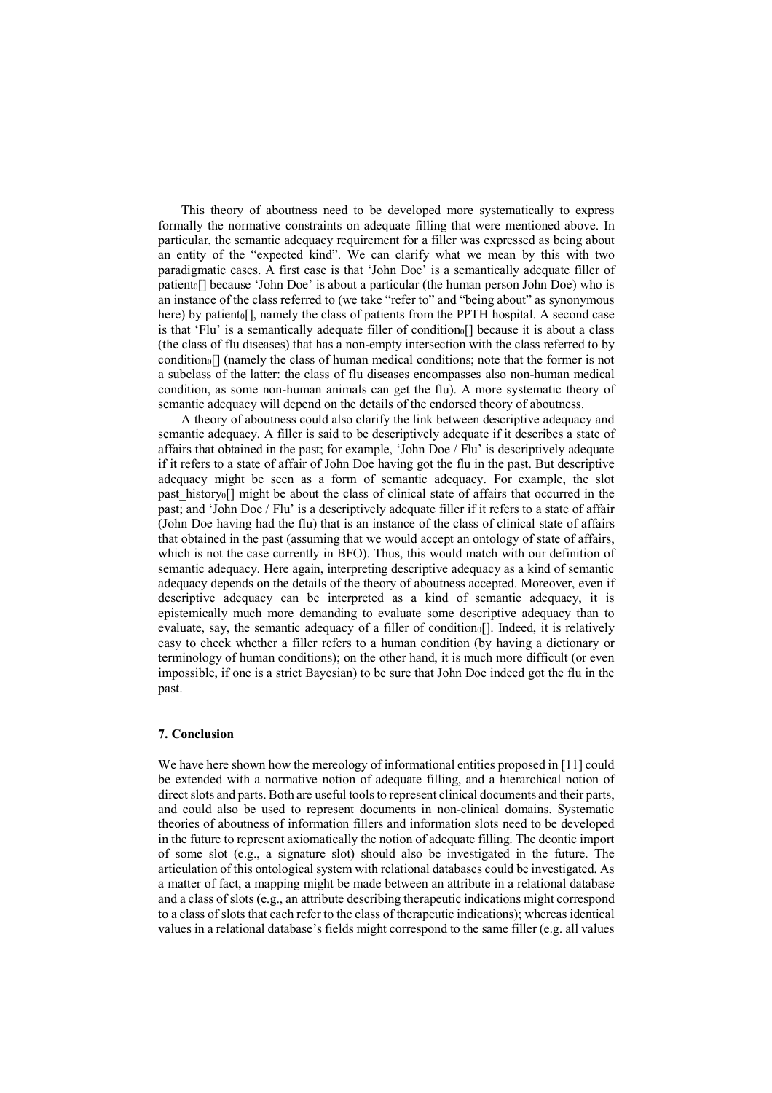This theory of aboutness need to be developed more systematically to express formally the normative constraints on adequate filling that were mentioned above. In particular, the semantic adequacy requirement for a filler was expressed as being about an entity of the "expected kind". We can clarify what we mean by this with two paradigmatic cases. A first case is that 'John Doe' is a semantically adequate filler of patient<sub>0</sub>[] because 'John Doe' is about a particular (the human person John Doe) who is an instance of the class referred to (we take "refer to" and "being about" as synonymous here) by patient o[], namely the class of patients from the PPTH hospital. A second case is that 'Flu' is a semantically adequate filler of condition $_0$ [] because it is about a class (the class of flu diseases) that has a non-empty intersection with the class referred to by condition0[] (namely the class of human medical conditions; note that the former is not a subclass of the latter: the class of flu diseases encompasses also non-human medical condition, as some non-human animals can get the flu). A more systematic theory of semantic adequacy will depend on the details of the endorsed theory of aboutness.

A theory of aboutness could also clarify the link between descriptive adequacy and semantic adequacy. A filler is said to be descriptively adequate if it describes a state of affairs that obtained in the past; for example, 'John Doe / Flu' is descriptively adequate if it refers to a state of affair of John Doe having got the flu in the past. But descriptive adequacy might be seen as a form of semantic adequacy. For example, the slot past\_history0[] might be about the class of clinical state of affairs that occurred in the past; and 'John Doe / Flu' is a descriptively adequate filler if it refers to a state of affair (John Doe having had the flu) that is an instance of the class of clinical state of affairs that obtained in the past (assuming that we would accept an ontology of state of affairs, which is not the case currently in BFO). Thus, this would match with our definition of semantic adequacy. Here again, interpreting descriptive adequacy as a kind of semantic adequacy depends on the details of the theory of aboutness accepted. Moreover, even if descriptive adequacy can be interpreted as a kind of semantic adequacy, it is epistemically much more demanding to evaluate some descriptive adequacy than to evaluate, say, the semantic adequacy of a filler of condition []. Indeed, it is relatively easy to check whether a filler refers to a human condition (by having a dictionary or terminology of human conditions); on the other hand, it is much more difficult (or even impossible, if one is a strict Bayesian) to be sure that John Doe indeed got the flu in the past.

### **7. Conclusion**

We have here shown how the mereology of informational entities proposed in [11] could be extended with a normative notion of adequate filling, and a hierarchical notion of direct slots and parts. Both are useful tools to represent clinical documents and their parts, and could also be used to represent documents in non-clinical domains. Systematic theories of aboutness of information fillers and information slots need to be developed in the future to represent axiomatically the notion of adequate filling. The deontic import of some slot (e.g., a signature slot) should also be investigated in the future. The articulation of this ontological system with relational databases could be investigated. As a matter of fact, a mapping might be made between an attribute in a relational database and a class of slots (e.g., an attribute describing therapeutic indications might correspond to a class of slots that each refer to the class of therapeutic indications); whereas identical values in a relational database's fields might correspond to the same filler (e.g. all values